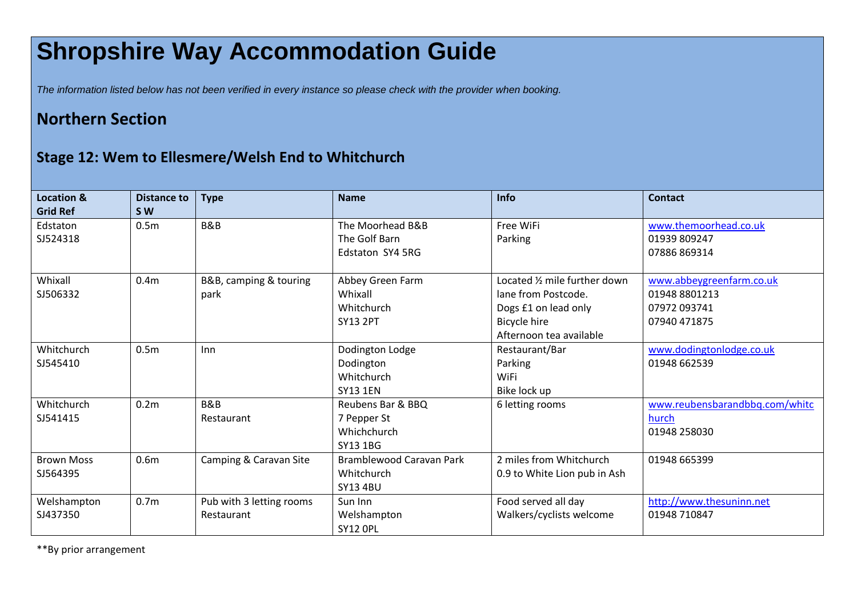## **Shropshire Way Accommodation Guide**

*The information listed below has not been verified in every instance so please check with the provider when booking.*

## **Northern Section**

## **Stage 12: Wem to Ellesmere/Welsh End to Whitchurch**

| <b>Location &amp;</b><br><b>Grid Ref</b> | <b>Distance to</b><br><b>SW</b> | <b>Type</b>                            | <b>Name</b>                                                   | Info                                                                                                                    | <b>Contact</b>                                                            |
|------------------------------------------|---------------------------------|----------------------------------------|---------------------------------------------------------------|-------------------------------------------------------------------------------------------------------------------------|---------------------------------------------------------------------------|
| Edstaton<br>SJ524318                     | 0.5 <sub>m</sub>                | B&B                                    | The Moorhead B&B<br>The Golf Barn<br>Edstaton SY4 5RG         | Free WiFi<br>Parking                                                                                                    | www.themoorhead.co.uk<br>01939 809247<br>07886 869314                     |
| Whixall<br>SJ506332                      | 0.4 <sub>m</sub>                | B&B, camping & touring<br>park         | Abbey Green Farm<br>Whixall<br>Whitchurch<br><b>SY13 2PT</b>  | Located 1/2 mile further down<br>lane from Postcode.<br>Dogs £1 on lead only<br>Bicycle hire<br>Afternoon tea available | www.abbeygreenfarm.co.uk<br>01948 8801213<br>07972 093741<br>07940 471875 |
| Whitchurch<br>SJ545410                   | 0.5 <sub>m</sub>                | Inn                                    | Dodington Lodge<br>Dodington<br>Whitchurch<br><b>SY13 1EN</b> | Restaurant/Bar<br>Parking<br>WiFi<br>Bike lock up                                                                       | www.dodingtonlodge.co.uk<br>01948 662539                                  |
| Whitchurch<br>SJ541415                   | 0.2 <sub>m</sub>                | B&B<br>Restaurant                      | Reubens Bar & BBQ<br>7 Pepper St<br>Whichchurch<br>SY13 1BG   | 6 letting rooms                                                                                                         | www.reubensbarandbbq.com/whitc<br>hurch<br>01948 258030                   |
| <b>Brown Moss</b><br>SJ564395            | 0.6 <sub>m</sub>                | Camping & Caravan Site                 | Bramblewood Caravan Park<br>Whitchurch<br><b>SY13 4BU</b>     | 2 miles from Whitchurch<br>0.9 to White Lion pub in Ash                                                                 | 01948 665399                                                              |
| Welshampton<br>SJ437350                  | 0.7 <sub>m</sub>                | Pub with 3 letting rooms<br>Restaurant | Sun Inn<br>Welshampton<br><b>SY12 OPL</b>                     | Food served all day<br>Walkers/cyclists welcome                                                                         | http://www.thesuninn.net<br>01948 710847                                  |

\*\*By prior arrangement